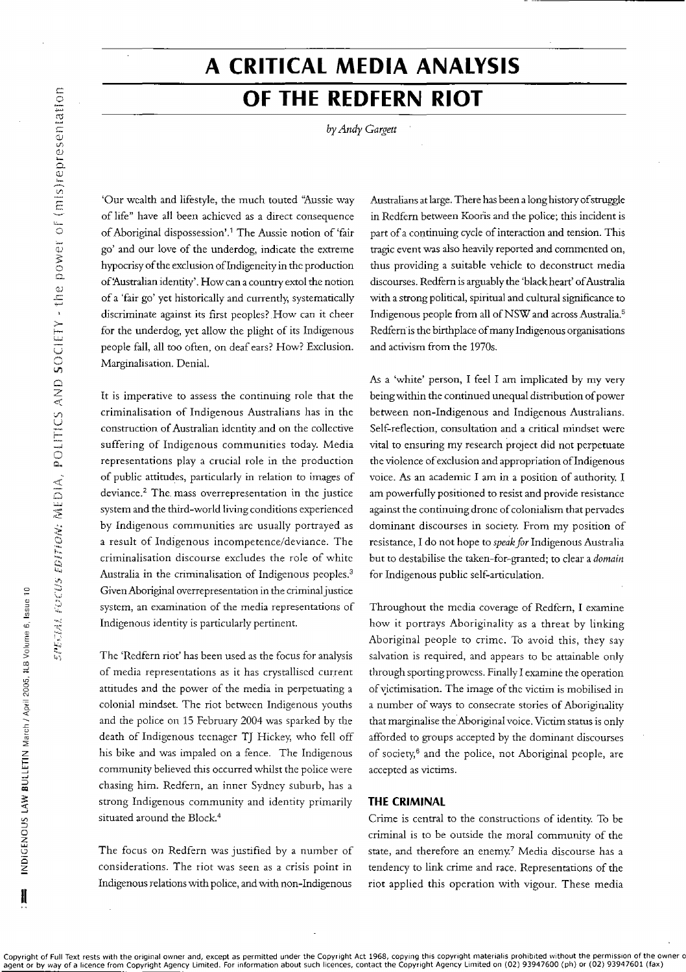INDIGENOUS LAW BULLETIN March / April 2005, ILB Volume 6, Issue 10

ł

# A CRITICAL MEDIA ANALYSIS OF THE REDFERN RIOT

by Andy Gargett

'Our wealth and lifestyle, the much touted "Aussie way of life" have all been achieved as a direct consequence of Aboriginal dispossession'.<sup>1</sup> The Aussie notion of 'fair go' and our love of the underdog, indicate the extreme hypocrisy of the exclusion of Indigeneity in the production of 'Australian identity'. How can a country extol the notion of a 'fair go' yet historically and currently, systematically discriminate against its first peoples? How can it cheer for the underdog, yet allow the plight of its Indigenous people fall, all too often, on deaf ears? How? Exclusion. Marginalisation. Denial.

It is imperative to assess the continuing role that the criminalisation of Indigenous Australians has in the construction of Australian identity and on the collective suffering of Indigenous communities today. Media representations play a crucial role in the production of public attitudes, particularly in relation to images of deviance.<sup>2</sup> The mass overrepresentation in the justice system and the third-world living conditions experienced by Indigenous communities are usually portrayed as a result of Indigenous incompetence/deviance. The criminalisation discourse excludes the role of white Australia in the criminalisation of Indigenous peoples.<sup>3</sup> Given Aboriginal overrepresentation in the criminal justice system, an examination of the media representations of Indigenous identity is particularly pertinent.

The 'Redfern riot' has been used as the focus for analysis of media representations as it has crystallised current attitudes and the power of the media in perpetuating a colonial mindset. The riot between Indigenous youths and the police on 15 February 2004 was sparked by the death of Indigenous teenager TJ Hickey, who fell off his bike and was impaled on a fence. The Indigenous community believed this occurred whilst the police were chasing him. Redfern, an inner Sydney suburb, has a strong Indigenous community and identity primarily situated around the Block.<sup>4</sup>

The focus on Redfern was justified by a number of considerations. The riot was seen as a crisis point in Indigenous relations with police, and with non-Indigenous

Australians at large. There has been a long history of struggle in Redfern between Kooris and the police; this incident is part of a continuing cycle of interaction and tension. This tragic event was also heavily reported and commented on, thus providing a suitable vehicle to deconstruct media discourses. Redfern is arguably the 'black heart' of Australia with a strong political, spiritual and cultural significance to Indigenous people from all of NSW and across Australia.<sup>5</sup> Redfern is the birthplace of many Indigenous organisations and activism from the 1970s.

As a 'white' person, I feel I am implicated by my very being within the continued unequal distribution of power between non-Indigenous and Indigenous Australians. Self-reflection, consultation and a critical mindset were vital to ensuring my research project did not perpetuate the violence of exclusion and appropriation of Indigenous voice. As an academic I am in a position of authority. I am powerfully positioned to resist and provide resistance against the continuing drone of colonialism that pervades dominant discourses in society. From my position of resistance, I do not hope to speak for Indigenous Australia but to destabilise the taken-for-granted; to clear a domain for Indigenous public self-articulation.

Throughout the media coverage of Redfern, I examine how it portrays Aboriginality as a threat by linking Aboriginal people to crime. To avoid this, they say salvation is required, and appears to be attainable only through sporting prowess. Finally I examine the operation of victimisation. The image of the victim is mobilised in a number of ways to consecrate stories of Aboriginality that marginalise the Aboriginal voice. Victim status is only afforded to groups accepted by the dominant discourses of society,<sup>6</sup> and the police, not Aboriginal people, are accepted as victims.

### **THE CRIMINAL**

Crime is central to the constructions of identity. To be criminal is to be outside the moral community of the state, and therefore an enemy.<sup>7</sup> Media discourse has a tendency to link crime and race. Representations of the riot applied this operation with vigour. These media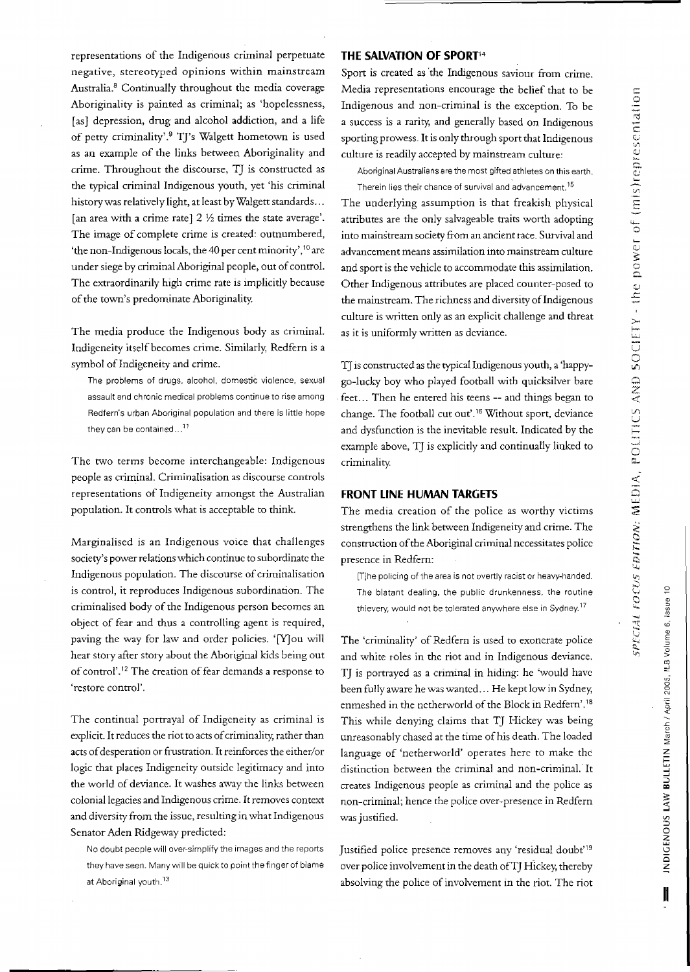Z

 $N$  BULLETIN March

GENOUS LAW

Cl z

**11**

 $\frac{1}{2}$ 

representations of the Indigenous criminal perpetuate negative, stereotyped opinions within mainstream Australia.<sup>8</sup> Continually throughout the media coverage Aboriginality is painted as criminal; as 'hopelessness, [as] depression, drug and alcohol addiction, and a life of petty criminality'.9 T]'s Walgett hometown is used as an example of the links between Aboriginality and crime. Throughout the discourse, T] is constructed as the typical criminal Indigenous youth, yet 'his criminal history was relatively light, at least byWalgett standards... [an area with a crime rate]  $2\frac{1}{2}$  times the state average'. The image of complete crime is created: outnumbered, 'the non-Indigenous locals, the 4D per cent minority', <sup>10</sup> are under siege by criminal Aboriginal people, out of control. The extraordinarily high crime rate is implicitly because of the town's predominate Aboriginality.

The media produce the Indigenous body as criminal. Indigeneity itself becomes crime. Similarly, Redfem is a symbol of Indigeneity and crime.

The problems of drugs, alcohol, domestic violence, sexual assault and chronic medical problems continue to rise among Redfern's urban Aboriginal population and there is little hope they can be contained... $^{11}$ 

The two terms become interchangeable: Indigenous people as criminal. Criminalisation as discourse controls representations of Indigeneity amongst the Australian population. It controls what is acceptable to think.

Marginalised is an Indigenous voice that challenges society's power relations which continue to subordinate the Indigenous population. The discourse of criminalisation is control, it reproduces Indigenous subordination. The criminalised body of the Indigenous person becomes an object of fear and thus a controlling agent is required, paving the way for law and order policies. '[Y]ou will hear story after story about the Aboriginal kids being out of control'.<sup>12</sup> The creation of fear demands a response to 'restore control'.

The continual portrayal of Indigeneity as criminal is explicit. It reduces the riot to acts of criminality, rather than acts of desperation or frustration. It reinforces the either/or logic that places Indigeneity outside legitimacy and into the world of deviance. It washes away the links between colonial legacies and Indigenous crime. It removes context and diversity from the issue, resulting in what Indigenous Senator Aden Ridgeway predicted:

No doubt people will over-simplify the images and the reports they have seen. Many will be quick to point the finger of blame at Aboriginal youth.<sup>13</sup>

## **THE SALVATION OF SPORT14**

Sport is created as 'the Indigenous saviour from crime. Media representations encourage the belief that to be Indigenous and non-criminal is the exception. To be a success is a rarity, and generally based on Indigenous sporting prowess. It is only through sport that Indigenous culture is readily accepted by mainstream culture:

Aboriginal Australians are the most gifted athletes on this earth. Therein lies their chance of survival and advancement.<sup>15</sup>

The underlying assumption is that freakish physical attributes are the only salvageable traits worth adopting into mainstream society from an ancient race. Survival and advancement means assimilation into mainstream culture and sport is the vehicle to accommodate this assimilation. Other Indigenous attributes are placed counter-posed to the mainstream. The richness and diversity of Indigenous culture is written only as an explicit challenge and threat as it is uniformly written as deviance.

T] is constructed as the typical Indigenous youth, a 'happygo-lucky boy who played football with quicksilver bare feet. .. Then he entered his teens **--** and things began to change. The football cut out'.<sup>16</sup> Without sport, deviance and dysfunction is the inevitable result. Indicated by the example above, TJ is explicitly and continually linked to criminality.

## **FRONT LINE HUMAN TARGETS**

The media creation of the police as worthy victims strengthens the link between Indigeneity and crime. The construction of the Aboriginal criminal necessitates police presence in Redfem:

[T]he policing of the area is not overtly racist or heavy-handed. The blatant dealing, the public drunkenness, the routine thievery, would not be tolerated anywhere else in Sydney.17

The 'criminality' of Redfem is used to exonerate police and white roles in the riot and in Indigenous deviance. T] is portrayed as a criminal in hiding: he 'would have been fully aware he was wanted ... He kept low in Sydney, enmeshed in the netherworld of the Block in Redfern'.<sup>18</sup> This while denying claims that T] Hickey was being unreasonably chased at the time of his death. The loaded language of 'netherworld' operates here to make the distinction between the criminal and non-criminal. It creates Indigenous people as criminal and the police as non-criminal; hence the police over~presence in Redfem was justified.

Justified police presence removes any 'residual doubt'19 over police involvement in the death of TJ Hickey, thereby absolving the police of involvement in the riot. The riot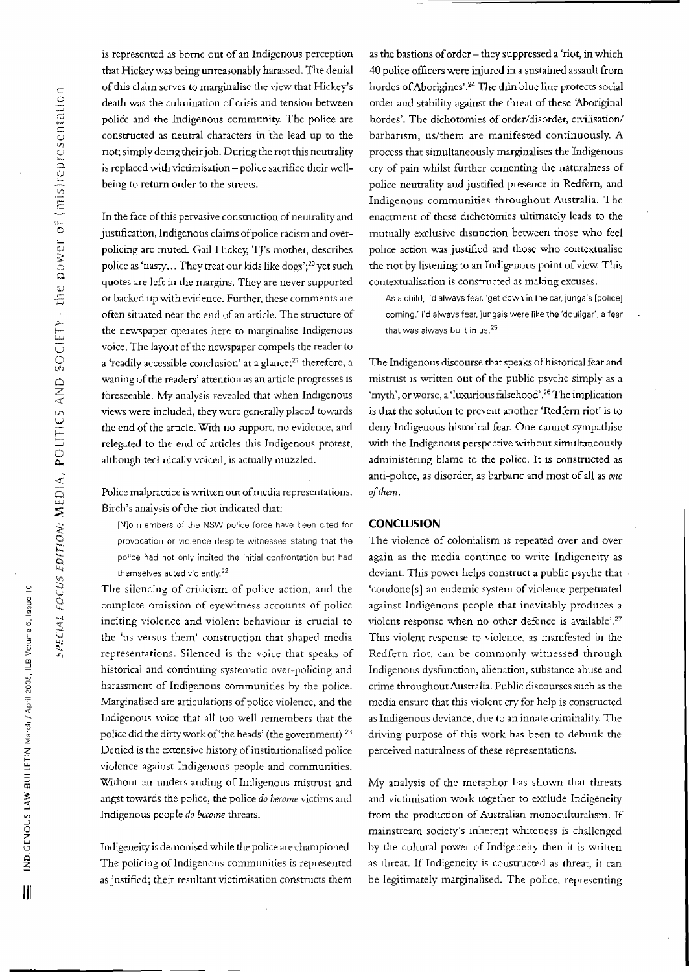$\epsilon$ 

 $^\mathrm{o}$ 

2005, ILB

n. «

March

**LLETIN** 

OIl .<br>ا<br>ا

**Z**<br>Z<br>D<br>LOENO

**III**

e<br>D<br>U

C)

.<br>مارچ<br>مارچ

 $\frac{1}{2}$ 11a11

represe

Vl E

 $\ddot{\circ}$  $\mathbb U$ **:5:** 0 n.

'1) **..!::**

;>- f-- "'-'

U 0 V',  $\mathcal{L}$ Z  $\prec$ i<br>Til  $\equiv$ ្ត is represented as borne out of an Indigenous perception that Hickey was being unreasonably harassed. The denial of this claim serves to marginalise the view that Hickey's death was the culmination of crisis and tension between police and the Indigenous community. The police are constructed as neutral characters in the lead up to the riot; simply doing theirjob. During the riot this neutrality is replaced with victimisation - police sacrifice their wellbeing to return order to the streets.

In the face of this pervasive construction of neutrality and justification, Indigenous claims of police racism and overpolicing are muted. Gail Hickey, TJ's mother, describes police as 'nasty... They treat our kids like dogs';20 yet such quotes are left in the margins. They are never supported or backed up with evidence. Further, these comments are often situated near the end of an article. The structure of the newspaper operates here to marginalise Indigenous voice. The layout of the newspaper compels the reader to a 'readily accessible conclusion' at a glance;<sup>21</sup> therefore, a waning of the readers' attention as an article progresses is foreseeable. My analysis revealed that when Indigenous views were included, they were generally placed towards the end of the article. With no support, no evidence, and relegated to the end of articles this Indigenous protest, although technically voiced, is actually muzzled.

Police malpractice is written out of media representations. Birch's analysis of the riot indicated that:

[N]o members of the NSW police force have been cited for provocation or violence despite witnesses stating that the police had not only incited the initial confrontation but had themselves acted violently. $22$ 

The silencing of criticism of police action, and the complete omission of eyewitness accounts of police inciting violence and violent behaviour is crucial to the 'us versus them' construction that shaped media representations. Silenced is the voice that speaks of historical and continuing systematic over-policing and harassment of Indigenous communities by the police. Marginalised are articulations of police violence, and the Indigenous voice that all too well remembers that the police did the dirty work of 'the heads' (the government).<sup>23</sup> Denied is the extensive history of institutionalised police violence against Indigenous people and communities. Without an understanding of Indigenous mistrust and angst towards the police, the police *do become* victims and Indigenous people *do become* threats.

Indigeneity is demonised while the police are championed. The policing of Indigenous communities is represented as justified; their resultant victimisation constructs them

as the bastions of order - they suppressed a 'riot, in which 40 police officers were injured in a sustained assault from hordes of Aborigines'.<sup>24</sup> The thin blue line protects social order and stability against the threat of these 'Aboriginal hordes'. The dichotomies of order/disorder, civilisation/ barbarism, us/them are manifested continuously. A process that simultaneously marginalises the Indigenous cry of pain whilst further cementing the naturalness of police neutrality and justified presence in Redfem, and Indigenous communities throughout Australia. The enactment of these dichotomies ultimately leads to the mutually exclusive distinction between those who feel police action was justified and those who contextualise the riot by listening to an Indigenous point of view. This contextualisation is constructed as making excuses.

As a child, I'd always fear. 'get down in the car, jungais [police] coming.' I'd always fear, jungais were like the 'douligar', a fear that was always built in us. $25$ 

The Indigenous discourse that speaks ofhistorical fear and mistrust is written out of the public psyche simply as a 'myth', or worse, a 'luxurious falsehood'.<sup>26</sup> The implication is that the solution to prevent another 'Redfem riot' is to deny Indigenous historical fear. One cannot sympathise with the Indigenous perspective without simultaneously administering blame to the police. It is constructed as anti-police, as disorder, as barbaric and most of all as one  $of$ *them.* 

#### **CONCLUSION**

The violence of colonialism is repeated over and over again as the media continue to write Indigeneity as deviant. This power helps construct a public psyche that 'condone [s] an endemic system of violence perpetuated against Indigenous people that inevitably produces a violent response when no other defence is available' 27 This violent response to violence, as manifested in the Redfem riot, can be commonly witnessed through Indigenous dysfunction, alienation, substance abuse and crime throughout Australia. Public discourses such as the media ensure that this violent cry for help is constructed as Indigenous deviance, due to an innate criminality. The driving purpose of this work has been to debunk the perceived naturalness of these representations.

My analysis of the metaphor has shown that threats and victimisation work together to exelude Indigeneity from the production of Australian monoculturalism. If mainstream society's inherent whiteness is challenged by the cultural power of Indigeneity then it is written as threat. If Indigeneity is constructed as threat, it can be legitimately marginalised. The police, representing